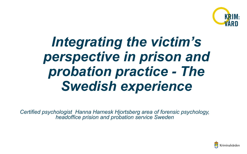

# *Integrating the victim's perspective in prison and probation practice - The Swedish experience*

*Certified psychologist Hanna Harnesk Hjortsberg area of forensic psychology, headoffice prision and probation service Sweden* 

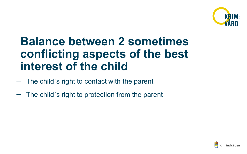

#### **Balance between 2 sometimes conflicting aspects of the best interest of the child**

- The child´s right to contact with the parent
- The child´s right to protection from the parent

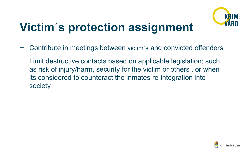

## **Victim´ s protection assignment**

- Contribute in meetings between victim´s and convicted offenders
- Limit destructive contacts based on applicable legislation; such as risk of injury/harm, security for the victim or others , or when its considered to counteract the inmates re-integration into society

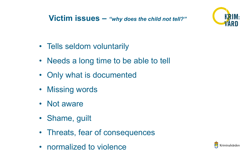

- Tells seldom voluntarily
- **See the conditions** • Needs a long time to be able to tell
- Only what is documented
- Missing words
- Not aware
- Shame, guilt
- Threats, fear of consequences
- normalized to violence

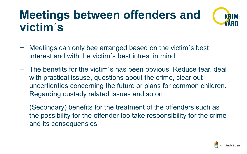### **Meetings between offenders and victim´ s**



- Meetings can only bee arranged based on the victim's best interest and with the victim´s best intrest in mind
- The benefits for the victim´s has been obvious. Reduce fear, deal with practical issuse, questions about the crime, clear out uncertienties concerning the future or plans for common children. Regarding custady related issues and so on
- (Secondary) benefits for the treatment of the offenders such as the possibility for the offender too take responsibility for the crime and its consequensies

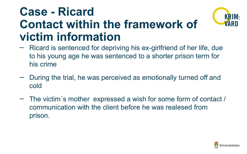#### **Case - Ricard Contact within the framework of victim information**



- Ricard is sentenced for depriving his ex-girlfriend of her life, due to his young age he was sentenced to a shorter prison term for his crime
- During the trial, he was perceived as emotionally turned off and cold
- The victim´s mother expressed a wish for some form of contact / communication with the client before he was realesed from prison.

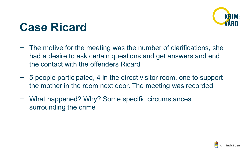

### **Case Ricard**

- The motive for the meeting was the number of clarifications, she had a desire to ask certain questions and get answers and end the contact with the offenders Ricard
- 5 people participated, 4 in the direct visitor room, one to support the mother in the room next door. The meeting was recorded
- What happened? Why? Some specific circumstances surrounding the crime

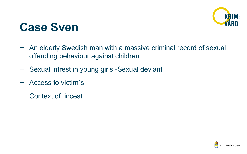

#### **Case Sven**

- An elderly Swedish man with a massive criminal record of sexual offending behaviour against children
- Sexual intrest in young girls -Sexual deviant
- Access to victim´s
- Context of incest

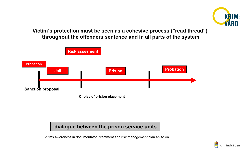

**Victim´s protection must be seen as a cohesive process ("read thread") throughout the offenders sentence and in all parts of the system**



#### **dialogue between the prison service units**

Vitims awareness in documentaton, treatment and risk management plan an so on…